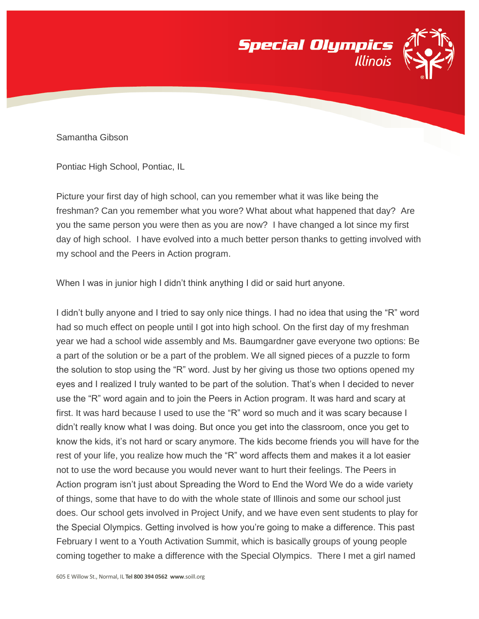

Samantha Gibson

Pontiac High School, Pontiac, IL

Picture your first day of high school, can you remember what it was like being the freshman? Can you remember what you wore? What about what happened that day? Are you the same person you were then as you are now? I have changed a lot since my first day of high school. I have evolved into a much better person thanks to getting involved with my school and the Peers in Action program.

When I was in junior high I didn't think anything I did or said hurt anyone.

I didn't bully anyone and I tried to say only nice things. I had no idea that using the "R" word had so much effect on people until I got into high school. On the first day of my freshman year we had a school wide assembly and Ms. Baumgardner gave everyone two options: Be a part of the solution or be a part of the problem. We all signed pieces of a puzzle to form the solution to stop using the "R" word. Just by her giving us those two options opened my eyes and I realized I truly wanted to be part of the solution. That's when I decided to never use the "R" word again and to join the Peers in Action program. It was hard and scary at first. It was hard because I used to use the "R" word so much and it was scary because I didn't really know what I was doing. But once you get into the classroom, once you get to know the kids, it's not hard or scary anymore. The kids become friends you will have for the rest of your life, you realize how much the "R" word affects them and makes it a lot easier not to use the word because you would never want to hurt their feelings. The Peers in Action program isn't just about Spreading the Word to End the Word We do a wide variety of things, some that have to do with the whole state of Illinois and some our school just does. Our school gets involved in Project Unify, and we have even sent students to play for the Special Olympics. Getting involved is how you're going to make a difference. This past February I went to a Youth Activation Summit, which is basically groups of young people coming together to make a difference with the Special Olympics. There I met a girl named